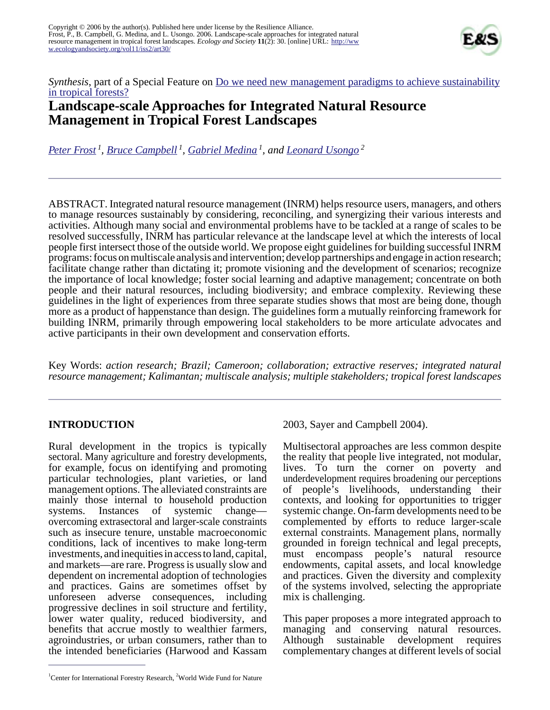

*Synthesis*, part of a Special Feature on <u>[Do we need new management paradigms to achieve sustainability](http://www.ecologyandsociety.org/viewissue.php?sf=27)</u> [in tropical forests?](http://www.ecologyandsociety.org/viewissue.php?sf=27)

# **Landscape-scale Approaches for Integrated Natural Resource Management in Tropical Forest Landscapes**

*[Peter Frost](mailto:p.frost@cgiar.org)<sup>1</sup> , [Bruce Campbell](mailto:bruce.campbell@cdu.edu.au)<sup>1</sup> , [Gabriel Medina](mailto:gabriel.medina@waldbau.uni freiburg.de)<sup>1</sup>, and [Leonard Usongo](mailto:lusongo@wwfcarpo.org)<sup>2</sup>*

ABSTRACT. Integrated natural resource management (INRM) helps resource users, managers, and others to manage resources sustainably by considering, reconciling, and synergizing their various interests and activities. Although many social and environmental problems have to be tackled at a range of scales to be resolved successfully, INRM has particular relevance at the landscape level at which the interests of local people first intersect those of the outside world. We propose eight guidelines for building successful INRM programs: focus on multiscale analysis and intervention; develop partnerships and engage in action research; facilitate change rather than dictating it; promote visioning and the development of scenarios; recognize the importance of local knowledge; foster social learning and adaptive management; concentrate on both people and their natural resources, including biodiversity; and embrace complexity. Reviewing these guidelines in the light of experiences from three separate studies shows that most are being done, though more as a product of happenstance than design. The guidelines form a mutually reinforcing framework for building INRM, primarily through empowering local stakeholders to be more articulate advocates and active participants in their own development and conservation efforts.

Key Words: *action research; Brazil; Cameroon; collaboration; extractive reserves; integrated natural resource management; Kalimantan; multiscale analysis; multiple stakeholders; tropical forest landscapes*

## **INTRODUCTION**

Rural development in the tropics is typically sectoral. Many agriculture and forestry developments, for example, focus on identifying and promoting particular technologies, plant varieties, or land management options. The alleviated constraints are mainly those internal to household production systems. Instances of systemic change overcoming extrasectoral and larger-scale constraints such as insecure tenure, unstable macroeconomic conditions, lack of incentives to make long-term investments, and inequities in access to land, capital, and markets—are rare. Progress is usually slow and dependent on incremental adoption of technologies and practices. Gains are sometimes offset by unforeseen adverse consequences, including progressive declines in soil structure and fertility, lower water quality, reduced biodiversity, and benefits that accrue mostly to wealthier farmers, agroindustries, or urban consumers, rather than to the intended beneficiaries (Harwood and Kassam

2003, Sayer and Campbell 2004).

Multisectoral approaches are less common despite the reality that people live integrated, not modular, lives. To turn the corner on poverty and underdevelopment requires broadening our perceptions of people's livelihoods, understanding their contexts, and looking for opportunities to trigger systemic change. On-farm developments need to be complemented by efforts to reduce larger-scale external constraints. Management plans, normally grounded in foreign technical and legal precepts, must encompass people's natural resource endowments, capital assets, and local knowledge and practices. Given the diversity and complexity of the systems involved, selecting the appropriate mix is challenging.

This paper proposes a more integrated approach to managing and conserving natural resources. Although sustainable development requires complementary changes at different levels of social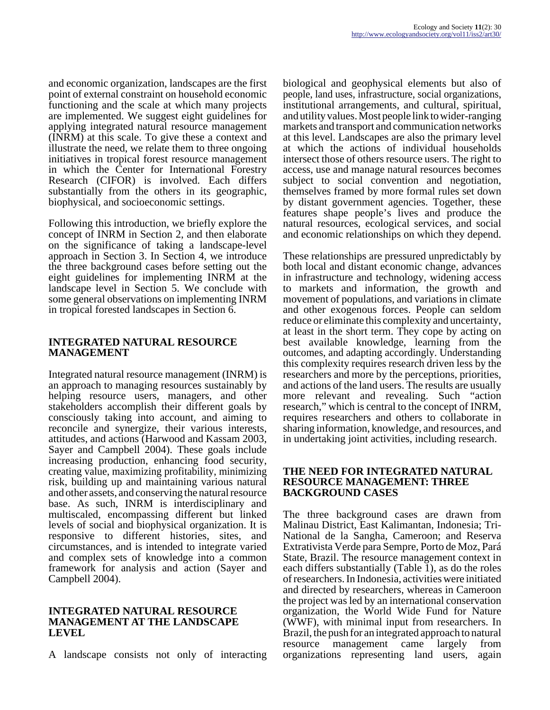and economic organization, landscapes are the first point of external constraint on household economic functioning and the scale at which many projects are implemented. We suggest eight guidelines for applying integrated natural resource management (INRM) at this scale. To give these a context and illustrate the need, we relate them to three ongoing initiatives in tropical forest resource management in which the Center for International Forestry Research (CIFOR) is involved. Each differs substantially from the others in its geographic, biophysical, and socioeconomic settings.

Following this introduction, we briefly explore the concept of INRM in Section 2, and then elaborate on the significance of taking a landscape-level approach in Section 3. In Section 4, we introduce the three background cases before setting out the eight guidelines for implementing INRM at the landscape level in Section 5. We conclude with some general observations on implementing INRM in tropical forested landscapes in Section 6.

## **INTEGRATED NATURAL RESOURCE MANAGEMENT**

Integrated natural resource management (INRM) is an approach to managing resources sustainably by helping resource users, managers, and other stakeholders accomplish their different goals by consciously taking into account, and aiming to reconcile and synergize, their various interests, attitudes, and actions (Harwood and Kassam 2003, Sayer and Campbell 2004). These goals include increasing production, enhancing food security, creating value, maximizing profitability, minimizing risk, building up and maintaining various natural and other assets, and conserving the natural resource base. As such, INRM is interdisciplinary and multiscaled, encompassing different but linked levels of social and biophysical organization. It is responsive to different histories, sites, and circumstances, and is intended to integrate varied and complex sets of knowledge into a common framework for analysis and action (Sayer and Campbell 2004).

#### **INTEGRATED NATURAL RESOURCE MANAGEMENT AT THE LANDSCAPE LEVEL**

A landscape consists not only of interacting

biological and geophysical elements but also of people, land uses, infrastructure, social organizations, institutional arrangements, and cultural, spiritual, and utility values. Most people link to wider-ranging markets and transport and communication networks at this level. Landscapes are also the primary level at which the actions of individual households intersect those of others resource users. The right to access, use and manage natural resources becomes subject to social convention and negotiation, themselves framed by more formal rules set down by distant government agencies. Together, these features shape people's lives and produce the natural resources, ecological services, and social and economic relationships on which they depend.

These relationships are pressured unpredictably by both local and distant economic change, advances in infrastructure and technology, widening access to markets and information, the growth and movement of populations, and variations in climate and other exogenous forces. People can seldom reduce or eliminate this complexity and uncertainty, at least in the short term. They cope by acting on best available knowledge, learning from the outcomes, and adapting accordingly. Understanding this complexity requires research driven less by the researchers and more by the perceptions, priorities, and actions of the land users. The results are usually more relevant and revealing. Such "action research," which is central to the concept of INRM, requires researchers and others to collaborate in sharing information, knowledge, and resources, and in undertaking joint activities, including research.

#### **THE NEED FOR INTEGRATED NATURAL RESOURCE MANAGEMENT: THREE BACKGROUND CASES**

The three background cases are drawn from Malinau District, East Kalimantan, Indonesia; Tri-National de la Sangha, Cameroon; and Reserva Extrativista Verde para Sempre, Porto de Moz, Pará State, Brazil. The resource management context in each differs substantially (Table 1), as do the roles of researchers. In Indonesia, activities were initiated and directed by researchers, whereas in Cameroon the project was led by an international conservation organization, the World Wide Fund for Nature (WWF), with minimal input from researchers. In Brazil, the push for an integrated approach to natural resource management came largely from organizations representing land users, again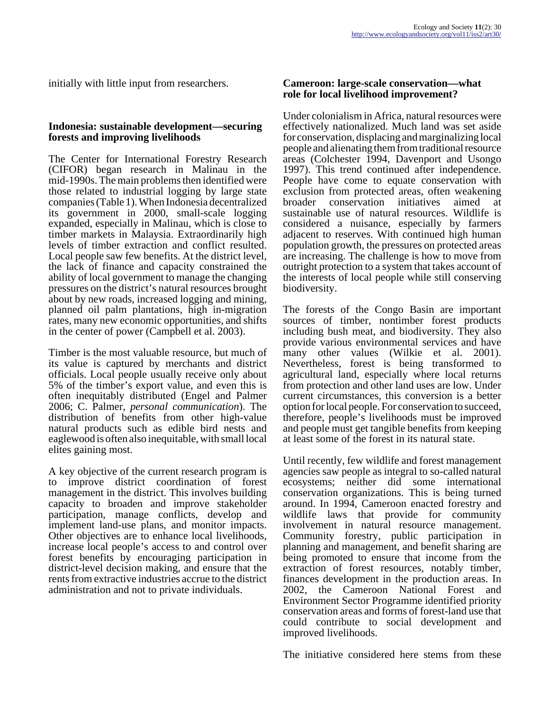initially with little input from researchers.

#### **Indonesia: sustainable development—securing forests and improving livelihoods**

The Center for International Forestry Research (CIFOR) began research in Malinau in the mid-1990s. The main problems then identified were those related to industrial logging by large state companies (Table 1). When Indonesia decentralized its government in 2000, small-scale logging expanded, especially in Malinau, which is close to timber markets in Malaysia. Extraordinarily high levels of timber extraction and conflict resulted. Local people saw few benefits. At the district level, the lack of finance and capacity constrained the ability of local government to manage the changing pressures on the district's natural resources brought about by new roads, increased logging and mining, planned oil palm plantations, high in-migration rates, many new economic opportunities, and shifts in the center of power (Campbell et al. 2003).

Timber is the most valuable resource, but much of its value is captured by merchants and district officials. Local people usually receive only about 5% of the timber's export value, and even this is often inequitably distributed (Engel and Palmer 2006; C. Palmer, *personal communication*). The distribution of benefits from other high-value natural products such as edible bird nests and eaglewood is often also inequitable, with small local elites gaining most.

A key objective of the current research program is to improve district coordination of forest management in the district. This involves building capacity to broaden and improve stakeholder participation, manage conflicts, develop and implement land-use plans, and monitor impacts. Other objectives are to enhance local livelihoods, increase local people's access to and control over forest benefits by encouraging participation in district-level decision making, and ensure that the rents from extractive industries accrue to the district administration and not to private individuals.

#### **Cameroon: large-scale conservation—what role for local livelihood improvement?**

Under colonialism in Africa, natural resources were effectively nationalized. Much land was set aside for conservation, displacing and marginalizing local people and alienating them from traditional resource areas (Colchester 1994, Davenport and Usongo 1997). This trend continued after independence. People have come to equate conservation with exclusion from protected areas, often weakening broader conservation initiatives aimed at sustainable use of natural resources. Wildlife is considered a nuisance, especially by farmers adjacent to reserves. With continued high human population growth, the pressures on protected areas are increasing. The challenge is how to move from outright protection to a system that takes account of the interests of local people while still conserving biodiversity.

The forests of the Congo Basin are important sources of timber, nontimber forest products including bush meat, and biodiversity. They also provide various environmental services and have many other values (Wilkie et al. 2001). Nevertheless, forest is being transformed to agricultural land, especially where local returns from protection and other land uses are low. Under current circumstances, this conversion is a better option for local people. For conservation to succeed, therefore, people's livelihoods must be improved and people must get tangible benefits from keeping at least some of the forest in its natural state.

Until recently, few wildlife and forest management agencies saw people as integral to so-called natural ecosystems; neither did some international conservation organizations. This is being turned around. In 1994, Cameroon enacted forestry and wildlife laws that provide for community involvement in natural resource management. Community forestry, public participation in planning and management, and benefit sharing are being promoted to ensure that income from the extraction of forest resources, notably timber, finances development in the production areas. In 2002, the Cameroon National Forest and Environment Sector Programme identified priority conservation areas and forms of forest-land use that could contribute to social development and improved livelihoods.

The initiative considered here stems from these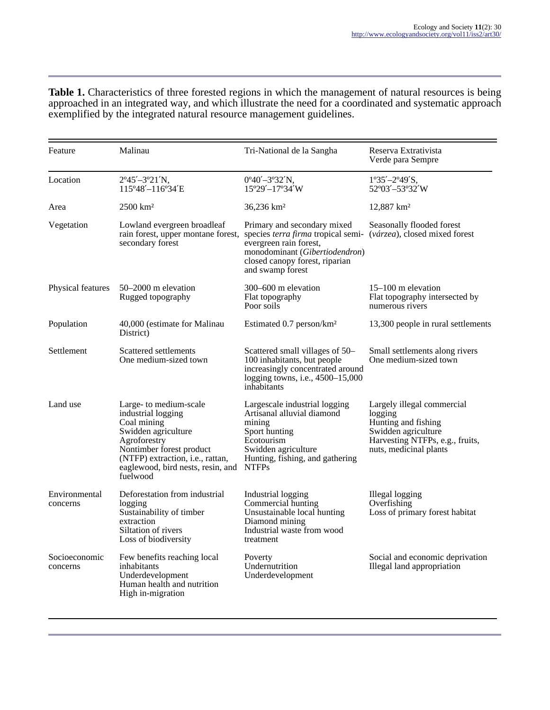**Table 1.** Characteristics of three forested regions in which the management of natural resources is being approached in an integrated way, and which illustrate the need for a coordinated and systematic approach exemplified by the integrated natural resource management guidelines.

| Feature                   | Malinau                                                                                                                                                                                                             | Tri-National de la Sangha                                                                                                                                                           | Reserva Extrativista<br>Verde para Sempre                                                                                                        |
|---------------------------|---------------------------------------------------------------------------------------------------------------------------------------------------------------------------------------------------------------------|-------------------------------------------------------------------------------------------------------------------------------------------------------------------------------------|--------------------------------------------------------------------------------------------------------------------------------------------------|
| Location                  | $2^{\circ}45' - 3^{\circ}21'N$ ,<br>115°48'-116°34'E                                                                                                                                                                | $0^{\circ}40' - 3^{\circ}32'N$ ,<br>15°29'-17°34'W                                                                                                                                  | $1^{\circ}35' - 2^{\circ}49'$ S,<br>52°03'-53°32'W                                                                                               |
| Area                      | $2500 \text{ km}^2$                                                                                                                                                                                                 | 36,236 km <sup>2</sup>                                                                                                                                                              | $12,887$ km <sup>2</sup>                                                                                                                         |
| Vegetation                | Lowland evergreen broadleaf<br>rain forest, upper montane forest,<br>secondary forest                                                                                                                               | Primary and secondary mixed<br>species terra firma tropical semi-<br>evergreen rain forest,<br>monodominant (Gibertiodendron)<br>closed canopy forest, riparian<br>and swamp forest | Seasonally flooded forest<br>(várzea), closed mixed forest                                                                                       |
| Physical features         | $50 - 2000$ m elevation<br>Rugged topography                                                                                                                                                                        | 300–600 m elevation<br>Flat topography<br>Poor soils                                                                                                                                | $15-100$ m elevation<br>Flat topography intersected by<br>numerous rivers                                                                        |
| Population                | 40,000 (estimate for Malinau<br>District)                                                                                                                                                                           | Estimated 0.7 person/km <sup>2</sup>                                                                                                                                                | 13,300 people in rural settlements                                                                                                               |
| Settlement                | Scattered settlements<br>One medium-sized town                                                                                                                                                                      | Scattered small villages of 50-<br>100 inhabitants, but people<br>increasingly concentrated around<br>logging towns, i.e., 4500-15,000<br>inhabitants                               | Small settlements along rivers<br>One medium-sized town                                                                                          |
| Land use                  | Large- to medium-scale<br>industrial logging<br>Coal mining<br>Swidden agriculture<br>Agroforestry<br>Nontimber forest product<br>(NTFP) extraction, i.e., rattan,<br>eaglewood, bird nests, resin, and<br>fuelwood | Largescale industrial logging<br>Artisanal alluvial diamond<br>mining<br>Sport hunting<br>Ecotourism<br>Swidden agriculture<br>Hunting, fishing, and gathering<br><b>NTFPs</b>      | Largely illegal commercial<br>logging<br>Hunting and fishing<br>Swidden agriculture<br>Harvesting NTFPs, e.g., fruits,<br>nuts, medicinal plants |
| Environmental<br>concerns | Deforestation from industrial<br>logging<br>Sustainability of timber<br>extraction<br>Siltation of rivers<br>Loss of biodiversity                                                                                   | Industrial logging<br>Commercial hunting<br>Unsustainable local hunting<br>Diamond mining<br>Industrial waste from wood<br>treatment                                                | Illegal logging<br>Overfishing<br>Loss of primary forest habitat                                                                                 |
| Socioeconomic<br>concerns | Few benefits reaching local<br>inhabitants<br>Underdevelopment<br>Human health and nutrition<br>High in-migration                                                                                                   | Poverty<br>Undernutrition<br>Underdevelopment                                                                                                                                       | Social and economic deprivation<br>Illegal land appropriation                                                                                    |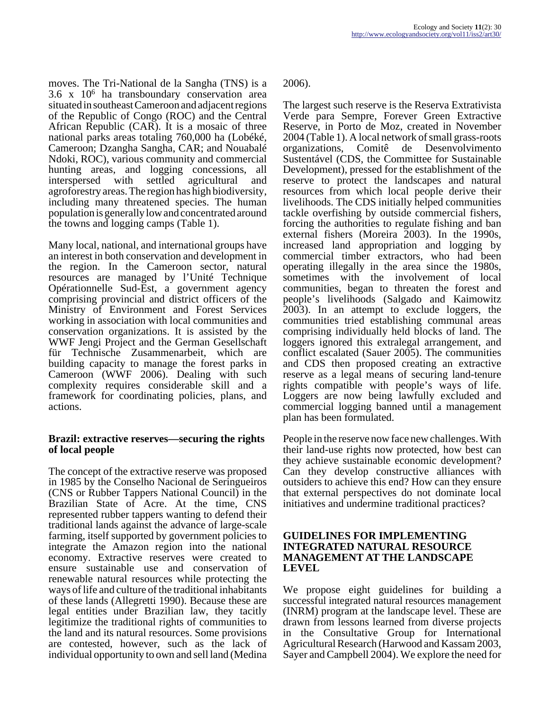moves. The Tri-National de la Sangha (TNS) is a 3.6 x 10<sup>6</sup> ha transboundary conservation area situated in southeast Cameroon and adjacent regions of the Republic of Congo (ROC) and the Central African Republic (CAR). It is a mosaic of three national parks areas totaling 760,000 ha (Lobéké, Cameroon; Dzangha Sangha, CAR; and Nouabalé Ndoki, ROC), various community and commercial hunting areas, and logging concessions, all interspersed with settled agricultural and agroforestry areas. The region has high biodiversity, including many threatened species. The human population is generally low and concentrated around the towns and logging camps (Table 1).

Many local, national, and international groups have an interest in both conservation and development in the region. In the Cameroon sector, natural resources are managed by l'Unité Technique Opérationnelle Sud-Est, a government agency comprising provincial and district officers of the Ministry of Environment and Forest Services working in association with local communities and conservation organizations. It is assisted by the WWF Jengi Project and the German Gesellschaft für Technische Zusammenarbeit, which are building capacity to manage the forest parks in Cameroon (WWF 2006). Dealing with such complexity requires considerable skill and a framework for coordinating policies, plans, and actions.

#### **Brazil: extractive reserves—securing the rights of local people**

The concept of the extractive reserve was proposed in 1985 by the Conselho Nacional de Seringueiros (CNS or Rubber Tappers National Council) in the Brazilian State of Acre. At the time, CNS represented rubber tappers wanting to defend their traditional lands against the advance of large-scale farming, itself supported by government policies to integrate the Amazon region into the national economy. Extractive reserves were created to ensure sustainable use and conservation of renewable natural resources while protecting the ways of life and culture of the traditional inhabitants of these lands (Allegretti 1990). Because these are legal entities under Brazilian law, they tacitly legitimize the traditional rights of communities to the land and its natural resources. Some provisions are contested, however, such as the lack of individual opportunity to own and sell land (Medina

2006).

The largest such reserve is the Reserva Extrativista Verde para Sempre, Forever Green Extractive Reserve, in Porto de Moz, created in November 2004 (Table 1). A local network of small grass-roots organizations, Comitê de Desenvolvimento Sustentável (CDS, the Committee for Sustainable Development), pressed for the establishment of the reserve to protect the landscapes and natural resources from which local people derive their livelihoods. The CDS initially helped communities tackle overfishing by outside commercial fishers, forcing the authorities to regulate fishing and ban external fishers (Moreira 2003). In the 1990s, increased land appropriation and logging by commercial timber extractors, who had been operating illegally in the area since the 1980s, sometimes with the involvement of local communities, began to threaten the forest and people's livelihoods (Salgado and Kaimowitz 2003). In an attempt to exclude loggers, the communities tried establishing communal areas comprising individually held blocks of land. The loggers ignored this extralegal arrangement, and conflict escalated (Sauer 2005). The communities and CDS then proposed creating an extractive reserve as a legal means of securing land-tenure rights compatible with people's ways of life. Loggers are now being lawfully excluded and commercial logging banned until a management plan has been formulated.

People in the reserve now face new challenges. With their land-use rights now protected, how best can they achieve sustainable economic development? Can they develop constructive alliances with outsiders to achieve this end? How can they ensure that external perspectives do not dominate local initiatives and undermine traditional practices?

#### **GUIDELINES FOR IMPLEMENTING INTEGRATED NATURAL RESOURCE MANAGEMENT AT THE LANDSCAPE LEVEL**

We propose eight guidelines for building a successful integrated natural resources management (INRM) program at the landscape level. These are drawn from lessons learned from diverse projects in the Consultative Group for International Agricultural Research (Harwood and Kassam 2003, Sayer and Campbell 2004). We explore the need for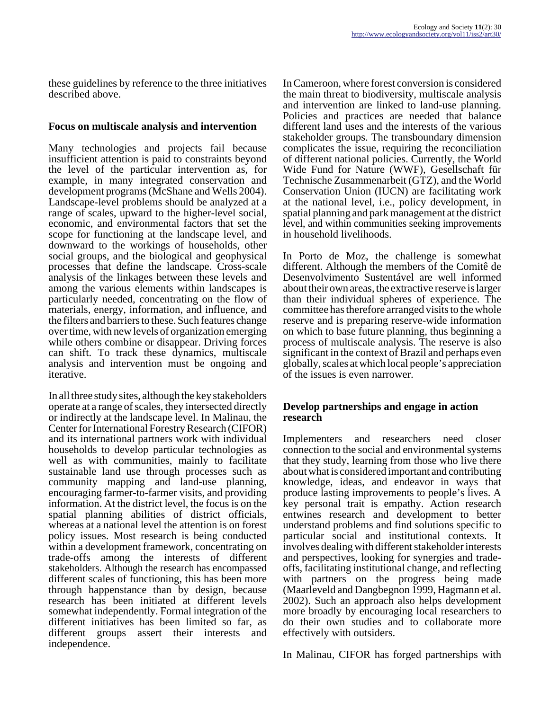these guidelines by reference to the three initiatives described above.

## **Focus on multiscale analysis and intervention**

Many technologies and projects fail because insufficient attention is paid to constraints beyond the level of the particular intervention as, for example, in many integrated conservation and development programs (McShane and Wells 2004). Landscape-level problems should be analyzed at a range of scales, upward to the higher-level social, economic, and environmental factors that set the scope for functioning at the landscape level, and downward to the workings of households, other social groups, and the biological and geophysical processes that define the landscape. Cross-scale analysis of the linkages between these levels and among the various elements within landscapes is particularly needed, concentrating on the flow of materials, energy, information, and influence, and the filters and barriers to these. Such features change over time, with new levels of organization emerging while others combine or disappear. Driving forces can shift. To track these dynamics, multiscale analysis and intervention must be ongoing and iterative.

In all three study sites, although the key stakeholders operate at a range of scales, they intersected directly or indirectly at the landscape level. In Malinau, the Center for International Forestry Research (CIFOR) and its international partners work with individual households to develop particular technologies as well as with communities, mainly to facilitate sustainable land use through processes such as community mapping and land-use planning, encouraging farmer-to-farmer visits, and providing information. At the district level, the focus is on the spatial planning abilities of district officials, whereas at a national level the attention is on forest policy issues. Most research is being conducted within a development framework, concentrating on trade-offs among the interests of different stakeholders. Although the research has encompassed different scales of functioning, this has been more through happenstance than by design, because research has been initiated at different levels somewhat independently. Formal integration of the different initiatives has been limited so far, as different groups assert their interests and independence.

In Cameroon, where forest conversion is considered the main threat to biodiversity, multiscale analysis and intervention are linked to land-use planning. Policies and practices are needed that balance different land uses and the interests of the various stakeholder groups. The transboundary dimension complicates the issue, requiring the reconciliation of different national policies. Currently, the World Wide Fund for Nature (WWF), Gesellschaft für Technische Zusammenarbeit (GTZ), and the World Conservation Union (IUCN) are facilitating work at the national level, i.e., policy development, in spatial planning and park management at the district level, and within communities seeking improvements in household livelihoods.

In Porto de Moz, the challenge is somewhat different. Although the members of the Comitê de Desenvolvimento Sustentável are well informed about their own areas, the extractive reserve is larger than their individual spheres of experience. The committee has therefore arranged visits to the whole reserve and is preparing reserve-wide information on which to base future planning, thus beginning a process of multiscale analysis. The reserve is also significant in the context of Brazil and perhaps even globally, scales at which local people's appreciation of the issues is even narrower.

#### **Develop partnerships and engage in action research**

Implementers and researchers need closer connection to the social and environmental systems that they study, learning from those who live there about what is considered important and contributing knowledge, ideas, and endeavor in ways that produce lasting improvements to people's lives. A key personal trait is empathy. Action research entwines research and development to better understand problems and find solutions specific to particular social and institutional contexts. It involves dealing with different stakeholder interests and perspectives, looking for synergies and tradeoffs, facilitating institutional change, and reflecting with partners on the progress being made (Maarleveld and Dangbegnon 1999, Hagmann et al. 2002). Such an approach also helps development more broadly by encouraging local researchers to do their own studies and to collaborate more effectively with outsiders.

In Malinau, CIFOR has forged partnerships with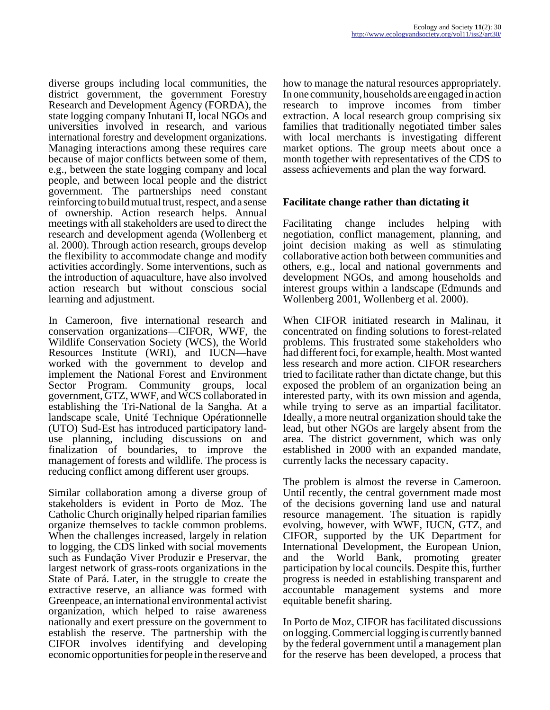diverse groups including local communities, the district government, the government Forestry Research and Development Agency (FORDA), the state logging company Inhutani II, local NGOs and universities involved in research, and various international forestry and development organizations. Managing interactions among these requires care because of major conflicts between some of them, e.g., between the state logging company and local people, and between local people and the district government. The partnerships need constant reinforcing to build mutual trust, respect, and a sense of ownership. Action research helps. Annual meetings with all stakeholders are used to direct the research and development agenda (Wollenberg et al. 2000). Through action research, groups develop the flexibility to accommodate change and modify activities accordingly. Some interventions, such as the introduction of aquaculture, have also involved action research but without conscious social learning and adjustment.

In Cameroon, five international research and conservation organizations—CIFOR, WWF, the Wildlife Conservation Society (WCS), the World Resources Institute (WRI), and IUCN—have worked with the government to develop and implement the National Forest and Environment Sector Program. Community groups, local government, GTZ, WWF, and WCS collaborated in establishing the Tri-National de la Sangha. At a landscape scale, Unité Technique Opérationnelle (UTO) Sud-Est has introduced participatory landuse planning, including discussions on and finalization of boundaries, to improve the management of forests and wildlife. The process is reducing conflict among different user groups.

Similar collaboration among a diverse group of stakeholders is evident in Porto de Moz. The Catholic Church originally helped riparian families organize themselves to tackle common problems. When the challenges increased, largely in relation to logging, the CDS linked with social movements such as Fundação Viver Produzir e Preservar, the largest network of grass-roots organizations in the State of Pará. Later, in the struggle to create the extractive reserve, an alliance was formed with Greenpeace, an international environmental activist organization, which helped to raise awareness nationally and exert pressure on the government to establish the reserve. The partnership with the CIFOR involves identifying and developing economic opportunities for people in the reserve and

how to manage the natural resources appropriately. In one community, households are engaged in action research to improve incomes from timber extraction. A local research group comprising six families that traditionally negotiated timber sales with local merchants is investigating different market options. The group meets about once a month together with representatives of the CDS to assess achievements and plan the way forward.

## **Facilitate change rather than dictating it**

Facilitating change includes helping with negotiation, conflict management, planning, and joint decision making as well as stimulating collaborative action both between communities and others, e.g., local and national governments and development NGOs, and among households and interest groups within a landscape (Edmunds and Wollenberg 2001, Wollenberg et al. 2000).

When CIFOR initiated research in Malinau, it concentrated on finding solutions to forest-related problems. This frustrated some stakeholders who had different foci, for example, health. Most wanted less research and more action. CIFOR researchers tried to facilitate rather than dictate change, but this exposed the problem of an organization being an interested party, with its own mission and agenda, while trying to serve as an impartial facilitator. Ideally, a more neutral organization should take the lead, but other NGOs are largely absent from the area. The district government, which was only established in 2000 with an expanded mandate, currently lacks the necessary capacity.

The problem is almost the reverse in Cameroon. Until recently, the central government made most of the decisions governing land use and natural resource management. The situation is rapidly evolving, however, with WWF, IUCN, GTZ, and CIFOR, supported by the UK Department for International Development, the European Union, and the World Bank, promoting greater participation by local councils. Despite this, further progress is needed in establishing transparent and accountable management systems and more equitable benefit sharing.

In Porto de Moz, CIFOR has facilitated discussions on logging. Commercial logging is currently banned by the federal government until a management plan for the reserve has been developed, a process that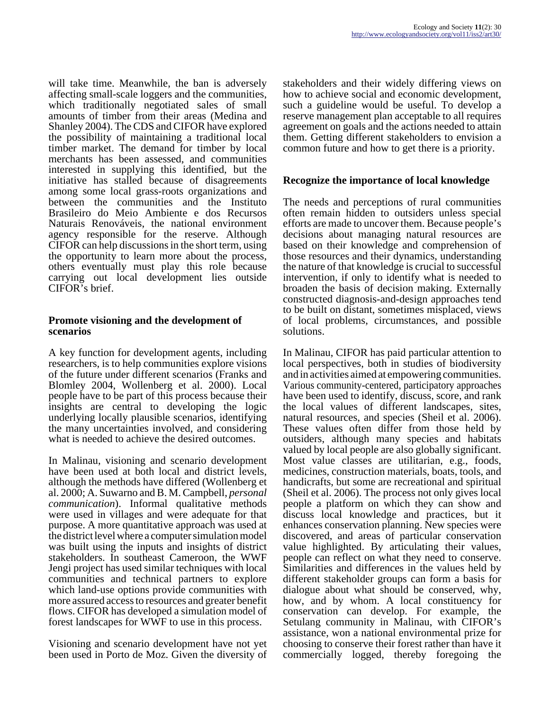will take time. Meanwhile, the ban is adversely affecting small-scale loggers and the communities, which traditionally negotiated sales of small amounts of timber from their areas (Medina and Shanley 2004). The CDS and CIFOR have explored the possibility of maintaining a traditional local timber market. The demand for timber by local merchants has been assessed, and communities interested in supplying this identified, but the initiative has stalled because of disagreements among some local grass-roots organizations and between the communities and the Instituto Brasileiro do Meio Ambiente e dos Recursos Naturais Renováveis, the national environment agency responsible for the reserve. Although CIFOR can help discussions in the short term, using the opportunity to learn more about the process, others eventually must play this role because carrying out local development lies outside CIFOR's brief.

#### **Promote visioning and the development of scenarios**

A key function for development agents, including researchers, is to help communities explore visions of the future under different scenarios (Franks and Blomley 2004, Wollenberg et al. 2000). Local people have to be part of this process because their insights are central to developing the logic underlying locally plausible scenarios, identifying the many uncertainties involved, and considering what is needed to achieve the desired outcomes.

In Malinau, visioning and scenario development have been used at both local and district levels, although the methods have differed (Wollenberg et al. 2000; A. Suwarno and B. M. Campbell, *personal communication*). Informal qualitative methods were used in villages and were adequate for that purpose. A more quantitative approach was used at the district level where a computer simulation model was built using the inputs and insights of district stakeholders. In southeast Cameroon, the WWF Jengi project has used similar techniques with local communities and technical partners to explore which land-use options provide communities with more assured access to resources and greater benefit flows. CIFOR has developed a simulation model of forest landscapes for WWF to use in this process.

Visioning and scenario development have not yet been used in Porto de Moz. Given the diversity of stakeholders and their widely differing views on how to achieve social and economic development, such a guideline would be useful. To develop a reserve management plan acceptable to all requires agreement on goals and the actions needed to attain them. Getting different stakeholders to envision a common future and how to get there is a priority.

## **Recognize the importance of local knowledge**

The needs and perceptions of rural communities often remain hidden to outsiders unless special efforts are made to uncover them. Because people's decisions about managing natural resources are based on their knowledge and comprehension of those resources and their dynamics, understanding the nature of that knowledge is crucial to successful intervention, if only to identify what is needed to broaden the basis of decision making. Externally constructed diagnosis-and-design approaches tend to be built on distant, sometimes misplaced, views of local problems, circumstances, and possible solutions.

In Malinau, CIFOR has paid particular attention to local perspectives, both in studies of biodiversity and in activities aimed at empowering communities. Various community-centered, participatory approaches have been used to identify, discuss, score, and rank the local values of different landscapes, sites, natural resources, and species (Sheil et al. 2006). These values often differ from those held by outsiders, although many species and habitats valued by local people are also globally significant. Most value classes are utilitarian, e.g., foods, medicines, construction materials, boats, tools, and handicrafts, but some are recreational and spiritual (Sheil et al. 2006). The process not only gives local people a platform on which they can show and discuss local knowledge and practices, but it enhances conservation planning. New species were discovered, and areas of particular conservation value highlighted. By articulating their values, people can reflect on what they need to conserve. Similarities and differences in the values held by different stakeholder groups can form a basis for dialogue about what should be conserved, why, how, and by whom. A local constituency for conservation can develop. For example, the Setulang community in Malinau, with CIFOR's assistance, won a national environmental prize for choosing to conserve their forest rather than have it commercially logged, thereby foregoing the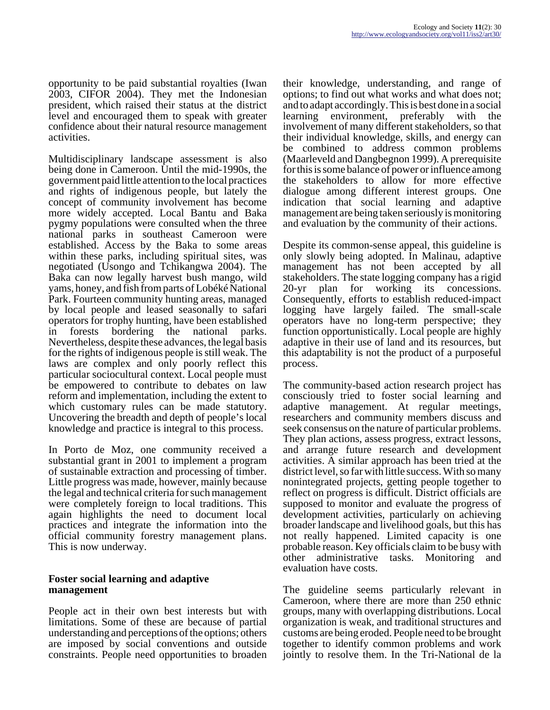opportunity to be paid substantial royalties (Iwan 2003, CIFOR 2004). They met the Indonesian president, which raised their status at the district level and encouraged them to speak with greater confidence about their natural resource management activities.

Multidisciplinary landscape assessment is also being done in Cameroon. Until the mid-1990s, the government paid little attention to the local practices and rights of indigenous people, but lately the concept of community involvement has become more widely accepted. Local Bantu and Baka pygmy populations were consulted when the three national parks in southeast Cameroon were established. Access by the Baka to some areas within these parks, including spiritual sites, was negotiated (Usongo and Tchikangwa 2004). The Baka can now legally harvest bush mango, wild yams, honey, and fish from parts of Lobéké National Park. Fourteen community hunting areas, managed by local people and leased seasonally to safari operators for trophy hunting, have been established in forests bordering the national parks. Nevertheless, despite these advances, the legal basis for the rights of indigenous people is still weak. The laws are complex and only poorly reflect this particular sociocultural context. Local people must be empowered to contribute to debates on law reform and implementation, including the extent to which customary rules can be made statutory. Uncovering the breadth and depth of people's local knowledge and practice is integral to this process.

In Porto de Moz, one community received a substantial grant in 2001 to implement a program of sustainable extraction and processing of timber. Little progress was made, however, mainly because the legal and technical criteria for such management were completely foreign to local traditions. This again highlights the need to document local practices and integrate the information into the official community forestry management plans. This is now underway.

#### **Foster social learning and adaptive management**

People act in their own best interests but with limitations. Some of these are because of partial understanding and perceptions of the options; others are imposed by social conventions and outside constraints. People need opportunities to broaden

their knowledge, understanding, and range of options; to find out what works and what does not; and to adapt accordingly. This is best done in a social learning environment, preferably with the involvement of many different stakeholders, so that their individual knowledge, skills, and energy can be combined to address common problems (Maarleveld and Dangbegnon 1999). A prerequisite for this is some balance of power or influence among the stakeholders to allow for more effective dialogue among different interest groups. One indication that social learning and adaptive management are being taken seriously is monitoring and evaluation by the community of their actions.

Despite its common-sense appeal, this guideline is only slowly being adopted. In Malinau, adaptive management has not been accepted by all stakeholders. The state logging company has a rigid 20-yr plan for working its concessions. Consequently, efforts to establish reduced-impact logging have largely failed. The small-scale operators have no long-term perspective; they function opportunistically. Local people are highly adaptive in their use of land and its resources, but this adaptability is not the product of a purposeful process.

The community-based action research project has consciously tried to foster social learning and adaptive management. At regular meetings, researchers and community members discuss and seek consensus on the nature of particular problems. They plan actions, assess progress, extract lessons, and arrange future research and development activities. A similar approach has been tried at the district level, so far with little success. With so many nonintegrated projects, getting people together to reflect on progress is difficult. District officials are supposed to monitor and evaluate the progress of development activities, particularly on achieving broader landscape and livelihood goals, but this has not really happened. Limited capacity is one probable reason. Key officials claim to be busy with other administrative tasks. Monitoring and evaluation have costs.

The guideline seems particularly relevant in Cameroon, where there are more than 250 ethnic groups, many with overlapping distributions. Local organization is weak, and traditional structures and customs are being eroded. People need to be brought together to identify common problems and work jointly to resolve them. In the Tri-National de la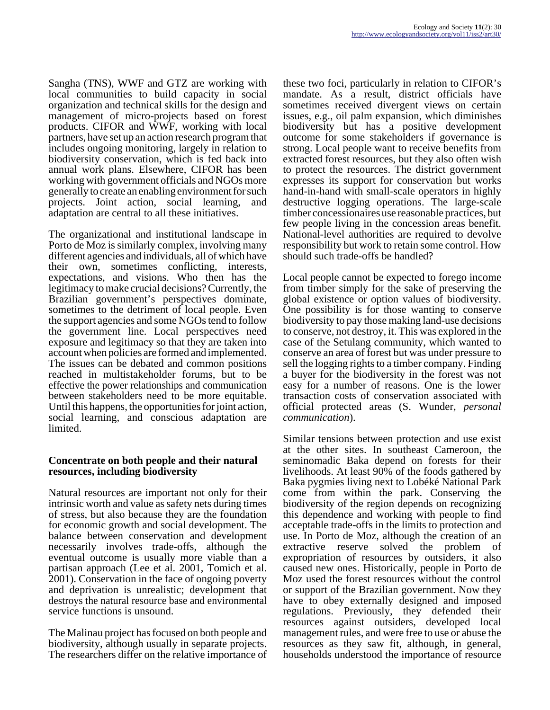Sangha (TNS), WWF and GTZ are working with local communities to build capacity in social organization and technical skills for the design and management of micro-projects based on forest products. CIFOR and WWF, working with local partners, have set up an action research program that includes ongoing monitoring, largely in relation to biodiversity conservation, which is fed back into annual work plans. Elsewhere, CIFOR has been working with government officials and NGOs more generally to create an enabling environment for such projects. Joint action, social learning, and adaptation are central to all these initiatives.

The organizational and institutional landscape in Porto de Moz is similarly complex, involving many different agencies and individuals, all of which have their own, sometimes conflicting, interests, expectations, and visions. Who then has the legitimacy to make crucial decisions? Currently, the Brazilian government's perspectives dominate, sometimes to the detriment of local people. Even the support agencies and some NGOs tend to follow the government line. Local perspectives need exposure and legitimacy so that they are taken into account when policies are formed and implemented. The issues can be debated and common positions reached in multistakeholder forums, but to be effective the power relationships and communication between stakeholders need to be more equitable. Until this happens, the opportunities for joint action, social learning, and conscious adaptation are limited.

## **Concentrate on both people and their natural resources, including biodiversity**

Natural resources are important not only for their intrinsic worth and value as safety nets during times of stress, but also because they are the foundation for economic growth and social development. The balance between conservation and development necessarily involves trade-offs, although the eventual outcome is usually more viable than a partisan approach (Lee et al. 2001, Tomich et al. 2001). Conservation in the face of ongoing poverty and deprivation is unrealistic; development that destroys the natural resource base and environmental service functions is unsound.

The Malinau project has focused on both people and biodiversity, although usually in separate projects. The researchers differ on the relative importance of these two foci, particularly in relation to CIFOR's mandate. As a result, district officials have sometimes received divergent views on certain issues, e.g., oil palm expansion, which diminishes biodiversity but has a positive development outcome for some stakeholders if governance is strong. Local people want to receive benefits from extracted forest resources, but they also often wish to protect the resources. The district government expresses its support for conservation but works hand-in-hand with small-scale operators in highly destructive logging operations. The large-scale timber concessionaires use reasonable practices, but few people living in the concession areas benefit. National-level authorities are required to devolve responsibility but work to retain some control. How should such trade-offs be handled?

Local people cannot be expected to forego income from timber simply for the sake of preserving the global existence or option values of biodiversity. One possibility is for those wanting to conserve biodiversity to pay those making land-use decisions to conserve, not destroy, it. This was explored in the case of the Setulang community, which wanted to conserve an area of forest but was under pressure to sell the logging rights to a timber company. Finding a buyer for the biodiversity in the forest was not easy for a number of reasons. One is the lower transaction costs of conservation associated with official protected areas (S. Wunder, *personal communication*).

Similar tensions between protection and use exist at the other sites. In southeast Cameroon, the seminomadic Baka depend on forests for their livelihoods. At least 90% of the foods gathered by Baka pygmies living next to Lobéké National Park come from within the park. Conserving the biodiversity of the region depends on recognizing this dependence and working with people to find acceptable trade-offs in the limits to protection and use. In Porto de Moz, although the creation of an extractive reserve solved the problem of expropriation of resources by outsiders, it also caused new ones. Historically, people in Porto de Moz used the forest resources without the control or support of the Brazilian government. Now they have to obey externally designed and imposed regulations. Previously, they defended their resources against outsiders, developed local management rules, and were free to use or abuse the resources as they saw fit, although, in general, households understood the importance of resource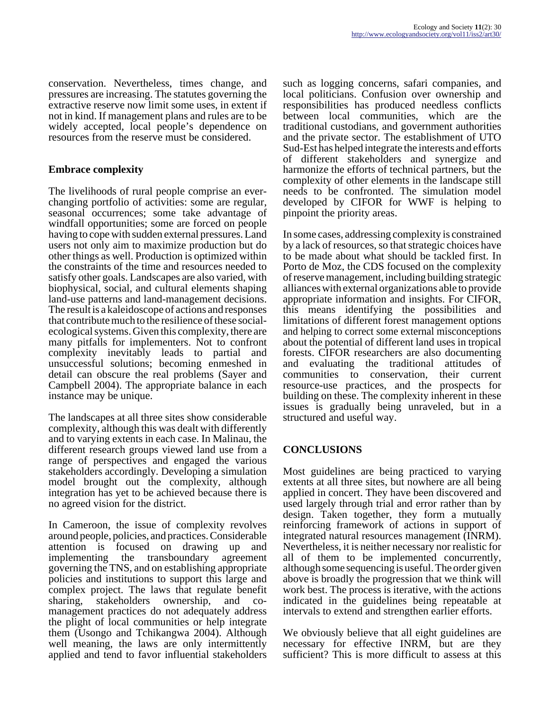conservation. Nevertheless, times change, and pressures are increasing. The statutes governing the extractive reserve now limit some uses, in extent if not in kind. If management plans and rules are to be widely accepted, local people's dependence on resources from the reserve must be considered.

## **Embrace complexity**

The livelihoods of rural people comprise an everchanging portfolio of activities: some are regular, seasonal occurrences; some take advantage of windfall opportunities; some are forced on people having to cope with sudden external pressures. Land users not only aim to maximize production but do other things as well. Production is optimized within the constraints of the time and resources needed to satisfy other goals. Landscapes are also varied, with biophysical, social, and cultural elements shaping land-use patterns and land-management decisions. The result is a kaleidoscope of actions and responses that contribute much to the resilience of these socialecological systems. Given this complexity, there are many pitfalls for implementers. Not to confront complexity inevitably leads to partial and unsuccessful solutions; becoming enmeshed in detail can obscure the real problems (Sayer and Campbell 2004). The appropriate balance in each instance may be unique.

The landscapes at all three sites show considerable complexity, although this was dealt with differently and to varying extents in each case. In Malinau, the different research groups viewed land use from a range of perspectives and engaged the various stakeholders accordingly. Developing a simulation model brought out the complexity, although integration has yet to be achieved because there is no agreed vision for the district.

In Cameroon, the issue of complexity revolves around people, policies, and practices. Considerable attention is focused on drawing up and implementing the transboundary agreement governing the TNS, and on establishing appropriate policies and institutions to support this large and complex project. The laws that regulate benefit sharing, stakeholders ownership, and comanagement practices do not adequately address the plight of local communities or help integrate them (Usongo and Tchikangwa 2004). Although well meaning, the laws are only intermittently applied and tend to favor influential stakeholders

such as logging concerns, safari companies, and local politicians. Confusion over ownership and responsibilities has produced needless conflicts between local communities, which are the traditional custodians, and government authorities and the private sector. The establishment of UTO Sud-Est has helped integrate the interests and efforts of different stakeholders and synergize and harmonize the efforts of technical partners, but the complexity of other elements in the landscape still needs to be confronted. The simulation model developed by CIFOR for WWF is helping to pinpoint the priority areas.

In some cases, addressing complexity is constrained by a lack of resources, so that strategic choices have to be made about what should be tackled first. In Porto de Moz, the CDS focused on the complexity of reserve management, including building strategic alliances with external organizations able to provide appropriate information and insights. For CIFOR, this means identifying the possibilities and limitations of different forest management options and helping to correct some external misconceptions about the potential of different land uses in tropical forests. CIFOR researchers are also documenting and evaluating the traditional attitudes of communities to conservation, their current resource-use practices, and the prospects for building on these. The complexity inherent in these issues is gradually being unraveled, but in a structured and useful way.

## **CONCLUSIONS**

Most guidelines are being practiced to varying extents at all three sites, but nowhere are all being applied in concert. They have been discovered and used largely through trial and error rather than by design. Taken together, they form a mutually reinforcing framework of actions in support of integrated natural resources management (INRM). Nevertheless, it is neither necessary nor realistic for all of them to be implemented concurrently, although some sequencing is useful. The order given above is broadly the progression that we think will work best. The process is iterative, with the actions indicated in the guidelines being repeatable at intervals to extend and strengthen earlier efforts.

We obviously believe that all eight guidelines are necessary for effective INRM, but are they sufficient? This is more difficult to assess at this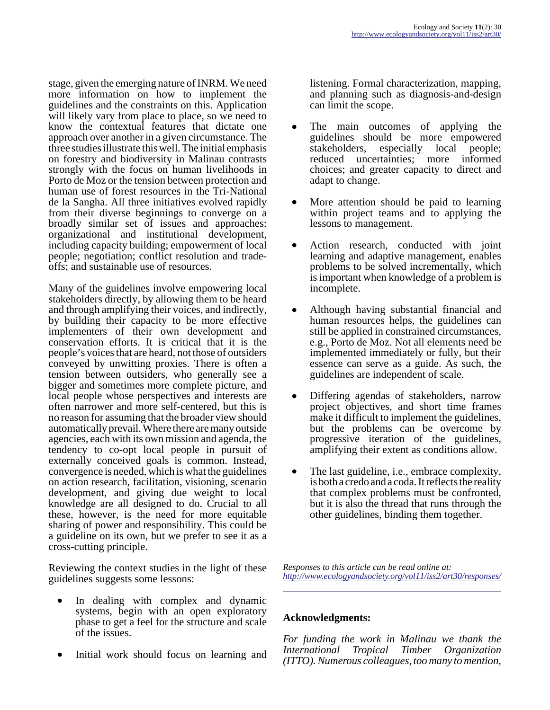stage, given the emerging nature of INRM. We need more information on how to implement the guidelines and the constraints on this. Application will likely vary from place to place, so we need to know the contextual features that dictate one approach over another in a given circumstance. The three studies illustrate this well. The initial emphasis on forestry and biodiversity in Malinau contrasts strongly with the focus on human livelihoods in Porto de Moz or the tension between protection and human use of forest resources in the Tri-National de la Sangha. All three initiatives evolved rapidly from their diverse beginnings to converge on a broadly similar set of issues and approaches: organizational and institutional development, including capacity building; empowerment of local people; negotiation; conflict resolution and tradeoffs; and sustainable use of resources.

Many of the guidelines involve empowering local stakeholders directly, by allowing them to be heard and through amplifying their voices, and indirectly, by building their capacity to be more effective implementers of their own development and conservation efforts. It is critical that it is the people's voices that are heard, not those of outsiders conveyed by unwitting proxies. There is often a tension between outsiders, who generally see a bigger and sometimes more complete picture, and local people whose perspectives and interests are often narrower and more self-centered, but this is no reason for assuming that the broader view should automatically prevail. Where there are many outside agencies, each with its own mission and agenda, the tendency to co-opt local people in pursuit of externally conceived goals is common. Instead, convergence is needed, which is what the guidelines on action research, facilitation, visioning, scenario development, and giving due weight to local knowledge are all designed to do. Crucial to all these, however, is the need for more equitable sharing of power and responsibility. This could be a guideline on its own, but we prefer to see it as a cross-cutting principle.

Reviewing the context studies in the light of these guidelines suggests some lessons:

- In dealing with complex and dynamic systems, begin with an open exploratory phase to get a feel for the structure and scale of the issues.
- Initial work should focus on learning and

listening. Formal characterization, mapping, and planning such as diagnosis-and-design can limit the scope.

- The main outcomes of applying the guidelines should be more empowered stakeholders, especially local people; reduced uncertainties; more informed choices; and greater capacity to direct and adapt to change.
- More attention should be paid to learning within project teams and to applying the lessons to management.
- Action research, conducted with joint learning and adaptive management, enables problems to be solved incrementally, which is important when knowledge of a problem is incomplete.
- Although having substantial financial and human resources helps, the guidelines can still be applied in constrained circumstances, e.g., Porto de Moz. Not all elements need be implemented immediately or fully, but their essence can serve as a guide. As such, the guidelines are independent of scale.
- Differing agendas of stakeholders, narrow project objectives, and short time frames make it difficult to implement the guidelines, but the problems can be overcome by progressive iteration of the guidelines, amplifying their extent as conditions allow.
- The last guideline, i.e., embrace complexity, is both a credo and a coda. It reflects the reality that complex problems must be confronted, but it is also the thread that runs through the other guidelines, binding them together.

*Responses to this article can be read online at: <http://www.ecologyandsociety.org/vol11/iss2/art30/responses/>*

## **Acknowledgments:**

*For funding the work in Malinau we thank the International Tropical Timber Organization (ITTO). Numerous colleagues, too many to mention,*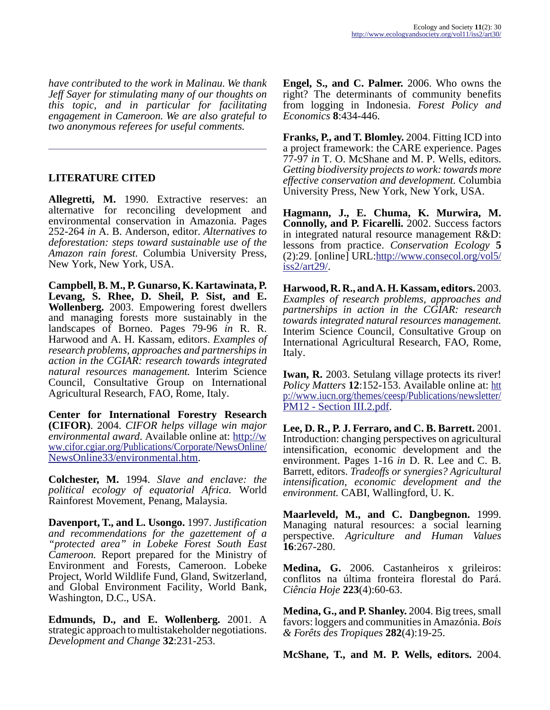*have contributed to the work in Malinau. We thank Jeff Sayer for stimulating many of our thoughts on this topic, and in particular for facilitating engagement in Cameroon. We are also grateful to two anonymous referees for useful comments.*

## **LITERATURE CITED**

**Allegretti, M.** 1990. Extractive reserves: an alternative for reconciling development and environmental conservation in Amazonia. Pages 252-264 *in* A. B. Anderson, editor. *Alternatives to deforestation: steps toward sustainable use of the Amazon rain forest.* Columbia University Press, New York, New York, USA.

**Campbell, B. M., P. Gunarso, K. Kartawinata, P. Levang, S. Rhee, D. Sheil, P. Sist, and E. Wollenberg.** 2003. Empowering forest dwellers and managing forests more sustainably in the landscapes of Borneo. Pages 79-96 *in* R. R. Harwood and A. H. Kassam, editors. *Examples of research problems, approaches and partnerships in action in the CGIAR: research towards integrated natural resources management.* Interim Science Council, Consultative Group on International Agricultural Research, FAO, Rome, Italy.

**Center for International Forestry Research (CIFOR)**. 2004. *CIFOR helps village win major environmental award*. Available online at: [http://w](http://www.cifor.cgiar.org/Publications/Corporate/NewsOnline/NewsOnline33/environmental.htm) ww.cifor.cgiar.org/Publications/Corporate/NewsOnline/ [NewsOnline33/environmental.htm](http://www.cifor.cgiar.org/Publications/Corporate/NewsOnline/NewsOnline33/environmental.htm).

**Colchester, M.** 1994. *Slave and enclave: the political ecology of equatorial Africa.* World Rainforest Movement, Penang, Malaysia.

**Davenport, T., and L. Usongo.** 1997. *Justification and recommendations for the gazettement of a "protected area" in Lobeke Forest South East Cameroon.* Report prepared for the Ministry of Environment and Forests, Cameroon. Lobeke Project, World Wildlife Fund, Gland, Switzerland, and Global Environment Facility, World Bank, Washington, D.C., USA.

**Edmunds, D., and E. Wollenberg.** 2001. A strategic approach to multistakeholder negotiations. *Development and Change* **32**:231-253.

**Engel, S., and C. Palmer.** 2006. Who owns the right? The determinants of community benefits from logging in Indonesia. *Forest Policy and Economics* **8**:434-446.

**Franks, P., and T. Blomley.** 2004. Fitting ICD into a project framework: the CARE experience. Pages 77-97 *in* T. O. McShane and M. P. Wells, editors. *Getting biodiversity projects to work: towards more effective conservation and development.* Columbia University Press, New York, New York, USA.

**Hagmann, J., E. Chuma, K. Murwira, M. Connolly, and P. Ficarelli.** 2002. Success factors in integrated natural resource management R&D: lessons from practice. *Conservation Ecology* **5** (2):29. [online] URL:[http://www.consecol.org/vol5/](http://www.ecologyandsociety.org/vol5/iss2/art29/index.html) [iss2/art29/](http://www.ecologyandsociety.org/vol5/iss2/art29/index.html).

**Harwood, R. R., and A. H. Kassam, editors.** 2003. *Examples of research problems, approaches and partnerships in action in the CGIAR: research towards integrated natural resources management.* Interim Science Council, Consultative Group on International Agricultural Research, FAO, Rome, Italy.

**Iwan, R.** 2003. Setulang village protects its river! *Policy Matters* **12**:152-153. Available online at: [htt](http://www.iucn.org/themes/ceesp/Publications/newsletter/PM12%20-%20Section%20III.2.pdf) p://www.iucn.org/themes/ceesp/Publications/newsletter/ [PM12 - Section III.2.pdf](http://www.iucn.org/themes/ceesp/Publications/newsletter/PM12%20-%20Section%20III.2.pdf).

**Lee, D. R., P. J. Ferraro, and C. B. Barrett.** 2001. Introduction: changing perspectives on agricultural intensification, economic development and the environment. Pages 1-16 *in* D. R. Lee and C. B. Barrett, editors. *Tradeoffs or synergies? Agricultural intensification, economic development and the environment.* CABI, Wallingford, U. K.

**Maarleveld, M., and C. Dangbegnon.** 1999. Managing natural resources: a social learning perspective. *Agriculture and Human Values* **16**:267-280.

**Medina, G.** 2006. Castanheiros x grileiros: conflitos na última fronteira florestal do Pará. *Ciência Hoje* **223**(4):60-63.

**Medina, G., and P. Shanley.** 2004. Big trees, small favors: loggers and communities in Amazónia. *Bois & Forêts des Tropiques* **282**(4):19-25.

**McShane, T., and M. P. Wells, editors.** 2004.